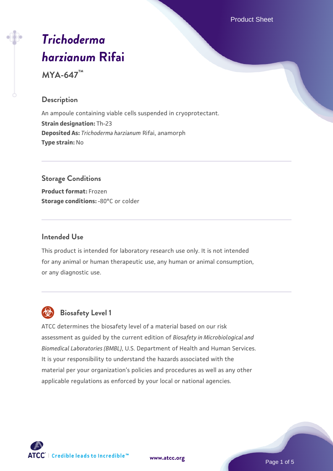Product Sheet

# *[Trichoderma](https://www.atcc.org/products/mya-647) [harzianum](https://www.atcc.org/products/mya-647)* **[Rifai](https://www.atcc.org/products/mya-647)**

**MYA-647™**

## **Description**

An ampoule containing viable cells suspended in cryoprotectant. **Strain designation:** Th-23 **Deposited As:** *Trichoderma harzianum* Rifai, anamorph **Type strain:** No

# **Storage Conditions**

**Product format:** Frozen **Storage conditions: -80°C or colder** 

#### **Intended Use**

This product is intended for laboratory research use only. It is not intended for any animal or human therapeutic use, any human or animal consumption, or any diagnostic use.



# **Biosafety Level 1**

ATCC determines the biosafety level of a material based on our risk assessment as guided by the current edition of *Biosafety in Microbiological and Biomedical Laboratories (BMBL)*, U.S. Department of Health and Human Services. It is your responsibility to understand the hazards associated with the material per your organization's policies and procedures as well as any other applicable regulations as enforced by your local or national agencies.



**[www.atcc.org](http://www.atcc.org)**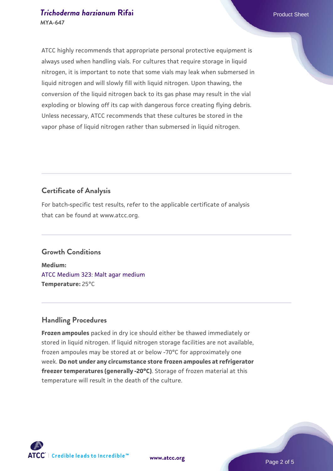#### **[Trichoderma harzianum](https://www.atcc.org/products/mya-647) [Rifai](https://www.atcc.org/products/mya-647)** Product Sheet **MYA-647**

ATCC highly recommends that appropriate personal protective equipment is always used when handling vials. For cultures that require storage in liquid nitrogen, it is important to note that some vials may leak when submersed in liquid nitrogen and will slowly fill with liquid nitrogen. Upon thawing, the conversion of the liquid nitrogen back to its gas phase may result in the vial exploding or blowing off its cap with dangerous force creating flying debris. Unless necessary, ATCC recommends that these cultures be stored in the vapor phase of liquid nitrogen rather than submersed in liquid nitrogen.

# **Certificate of Analysis**

For batch-specific test results, refer to the applicable certificate of analysis that can be found at www.atcc.org.

# **Growth Conditions**

**Medium:**  [ATCC Medium 323: Malt agar medium](https://www.atcc.org/-/media/product-assets/documents/microbial-media-formulations/3/2/3/atcc-medium-323.pdf?rev=58d6457ee20149d7a1c844947569ef92) **Temperature:** 25°C

# **Handling Procedures**

**Frozen ampoules** packed in dry ice should either be thawed immediately or stored in liquid nitrogen. If liquid nitrogen storage facilities are not available, frozen ampoules may be stored at or below -70°C for approximately one week. **Do not under any circumstance store frozen ampoules at refrigerator freezer temperatures (generally -20°C)**. Storage of frozen material at this temperature will result in the death of the culture.

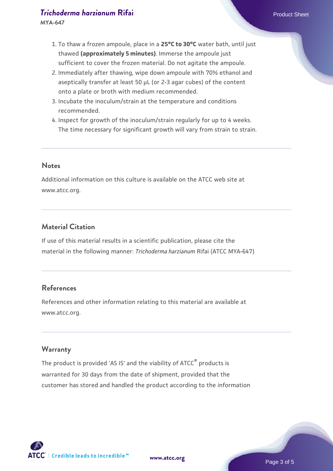# **[Trichoderma harzianum](https://www.atcc.org/products/mya-647) [Rifai](https://www.atcc.org/products/mya-647)** Product Sheet

**MYA-647**

- 1. To thaw a frozen ampoule, place in a **25°C to 30°C** water bath, until just thawed **(approximately 5 minutes)**. Immerse the ampoule just sufficient to cover the frozen material. Do not agitate the ampoule.
- 2. Immediately after thawing, wipe down ampoule with 70% ethanol and aseptically transfer at least 50 µL (or 2-3 agar cubes) of the content onto a plate or broth with medium recommended.
- 3. Incubate the inoculum/strain at the temperature and conditions recommended.
- 4. Inspect for growth of the inoculum/strain regularly for up to 4 weeks. The time necessary for significant growth will vary from strain to strain.

#### **Notes**

Additional information on this culture is available on the ATCC web site at www.atcc.org.

# **Material Citation**

If use of this material results in a scientific publication, please cite the material in the following manner: *Trichoderma harzianum* Rifai (ATCC MYA-647)

# **References**

References and other information relating to this material are available at www.atcc.org.

#### **Warranty**

The product is provided 'AS IS' and the viability of ATCC<sup>®</sup> products is warranted for 30 days from the date of shipment, provided that the customer has stored and handled the product according to the information

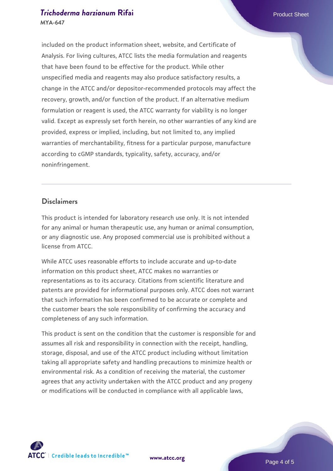#### **[Trichoderma harzianum](https://www.atcc.org/products/mya-647) [Rifai](https://www.atcc.org/products/mya-647)** Product Sheet **MYA-647**

included on the product information sheet, website, and Certificate of Analysis. For living cultures, ATCC lists the media formulation and reagents that have been found to be effective for the product. While other unspecified media and reagents may also produce satisfactory results, a change in the ATCC and/or depositor-recommended protocols may affect the recovery, growth, and/or function of the product. If an alternative medium formulation or reagent is used, the ATCC warranty for viability is no longer valid. Except as expressly set forth herein, no other warranties of any kind are provided, express or implied, including, but not limited to, any implied warranties of merchantability, fitness for a particular purpose, manufacture according to cGMP standards, typicality, safety, accuracy, and/or noninfringement.

#### **Disclaimers**

This product is intended for laboratory research use only. It is not intended for any animal or human therapeutic use, any human or animal consumption, or any diagnostic use. Any proposed commercial use is prohibited without a license from ATCC.

While ATCC uses reasonable efforts to include accurate and up-to-date information on this product sheet, ATCC makes no warranties or representations as to its accuracy. Citations from scientific literature and patents are provided for informational purposes only. ATCC does not warrant that such information has been confirmed to be accurate or complete and the customer bears the sole responsibility of confirming the accuracy and completeness of any such information.

This product is sent on the condition that the customer is responsible for and assumes all risk and responsibility in connection with the receipt, handling, storage, disposal, and use of the ATCC product including without limitation taking all appropriate safety and handling precautions to minimize health or environmental risk. As a condition of receiving the material, the customer agrees that any activity undertaken with the ATCC product and any progeny or modifications will be conducted in compliance with all applicable laws,